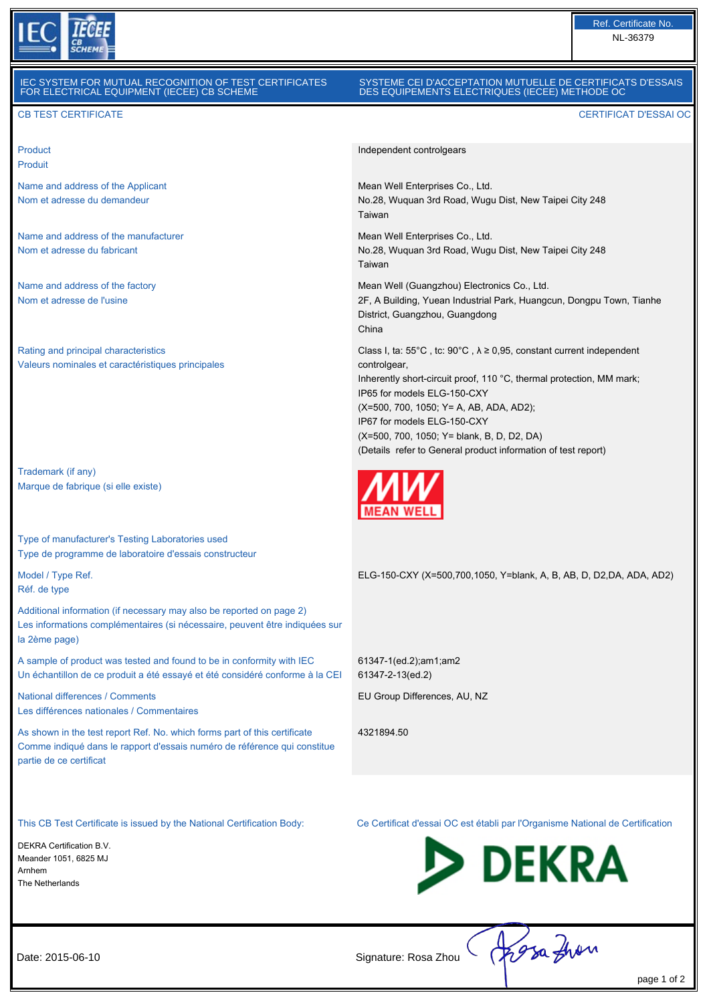

#### SYSTEME CEI D'ACCEPTATION MUTUELLE DE CERTIFICATS D'ESSAIS DES EQUIPEMENTS ELECTRIQUES (IECEE) METHODE OC

Independent controlgears

Taiwan

Taiwan

China

controlgear,

Mean Well Enterprises Co., Ltd.

Mean Well Enterprises Co., Ltd.

District, Guangzhou, Guangdong

IP65 for models ELG-150-CXY

IP67 for models ELG-150-CXY

61347-1(ed.2);am1;am2 61347-2-13(ed.2)

4321894.50

EU Group Differences, AU, NZ

(X=500, 700, 1050; Y= A, AB, ADA, AD2);

(X=500, 700, 1050; Y= blank, B, D, D2, DA)

No.28, Wuquan 3rd Road, Wugu Dist, New Taipei City 248

No.28, Wuquan 3rd Road, Wugu Dist, New Taipei City 248

2F, A Building, Yuean Industrial Park, Huangcun, Dongpu Town, Tianhe

Class I, ta:  $55^{\circ}$ C, tc:  $90^{\circ}$ C,  $\lambda \ge 0.95$ , constant current independent

Inherently short-circuit proof, 110 °C, thermal protection, MM mark;

(Details refer to General product information of test report)

Mean Well (Guangzhou) Electronics Co., Ltd.

#### CB TEST CERTIFICATE CERTIFICAT D'ESSAI OC

Product Produit

Name and address of the Applicant Nom et adresse du demandeur

Name and address of the manufacturer Nom et adresse du fabricant

Name and address of the factory Nom et adresse de l'usine

Rating and principal characteristics Valeurs nominales et caractéristiques principales

Trademark (if any) Marque de fabrique (si elle existe)

Type of manufacturer's Testing Laboratories used Type de programme de laboratoire d'essais constructeur

Model / Type Ref. Réf. de type

Additional information (if necessary may also be reported on page 2) Les informations complémentaires (si nécessaire, peuvent être indiquées sur la 2ème page)

A sample of product was tested and found to be in conformity with IEC Un échantillon de ce produit a été essayé et été considéré conforme à la CEI

National differences / Comments Les différences nationales / Commentaires

As shown in the test report Ref. No. which forms part of this certificate Comme indiqué dans le rapport d'essais numéro de référence qui constitue partie de ce certificat

DEKRA Certification B.V. Meander 1051, 6825 MJ Arnhem The Netherlands

This CB Test Certificate is issued by the National Certification Body: Ce Certificat d'essai OC est établi par l'Organisme National de Certification

ELG-150-CXY (X=500,700,1050, Y=blank, A, B, AB, D, D2,DA, ADA, AD2)



| 2015-06-10 |  |
|------------|--|
|------------|--|

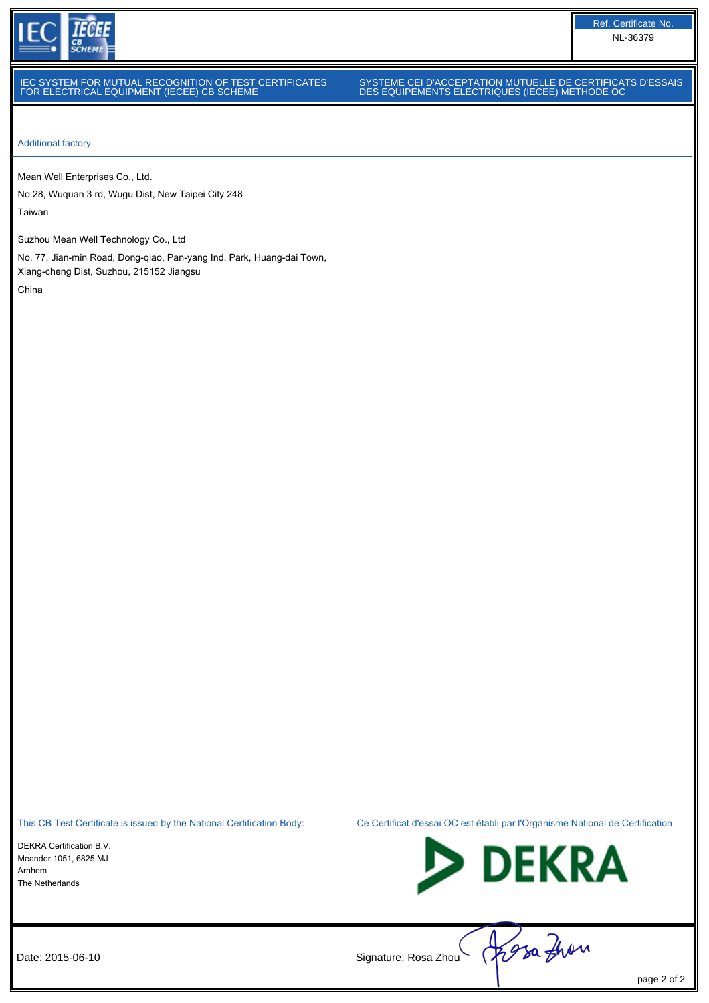

### SYSTEME CEI D'ACCEPTATION MUTUELLE DE CERTIFICATS D'ESSAIS DES EQUIPEMENTS ELECTRIQUES (IECEE) METHODE OC

Ref. Certificate No. NL-36379

Additional factory

Mean Well Enterprises Co., Ltd.

No.28, Wuquan 3 rd, Wugu Dist, New Taipei City 248 Taiwan

Suzhou Mean Well Technology Co., Ltd

No. 77, Jian-min Road, Dong-qiao, Pan-yang Ind. Park, Huang-dai Town, Xiang-cheng Dist, Suzhou, 215152 Jiangsu China

DEKRA Certification B.V. Meander 1051, 6825 MJ Arnhem The Netherlands





Date: 2015-06-10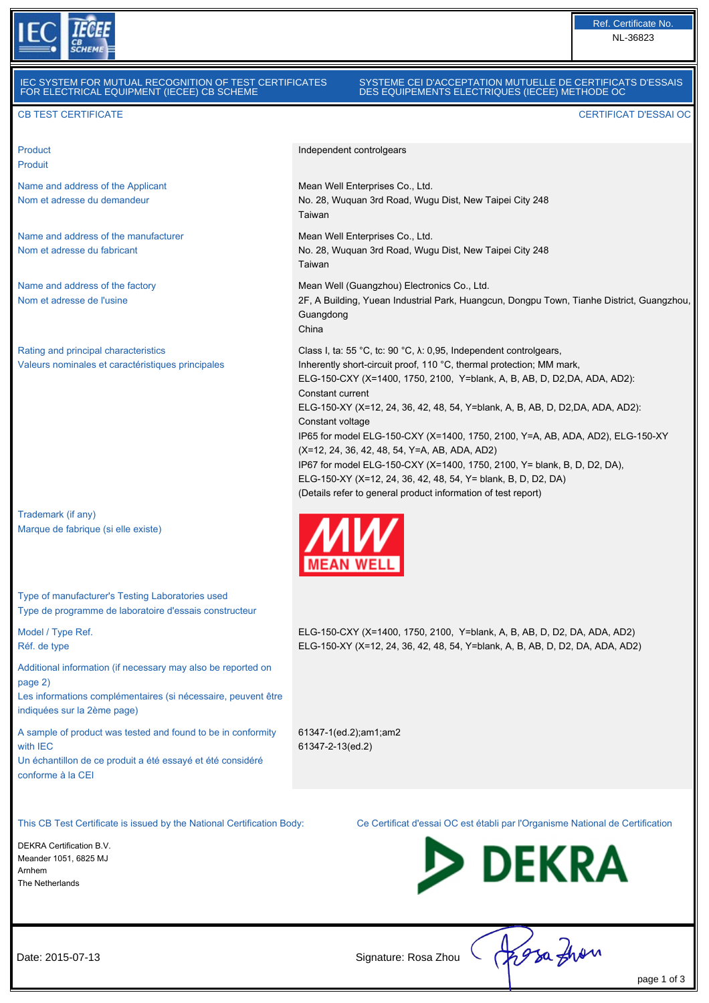

#### SYSTEME CEI D'ACCEPTATION MUTUELLE DE CERTIFICATS D'ESSAIS DES EQUIPEMENTS ELECTRIQUES (IECEE) METHODE OC

# CB TEST CERTIFICATE CERTIFICAT D'ESSAI OC

Product Produit

Name and address of the Applicant Nom et adresse du demandeur

Name and address of the manufacturer Nom et adresse du fabricant

Name and address of the factory Nom et adresse de l'usine

Rating and principal characteristics Valeurs nominales et caractéristiques principales

Trademark (if any) Marque de fabrique (si elle existe)

Type of manufacturer's Testing Laboratories used Type de programme de laboratoire d'essais constructeur

Model / Type Ref. Réf. de type

Additional information (if necessary may also be reported on page 2)

Les informations complémentaires (si nécessaire, peuvent être indiquées sur la 2ème page)

A sample of product was tested and found to be in conformity with IEC

Un échantillon de ce produit a été essayé et été considéré conforme à la CEI

Independent controlgears Mean Well Enterprises Co., Ltd. No. 28, Wuquan 3rd Road, Wugu Dist, New Taipei City 248 Taiwan

Mean Well Enterprises Co., Ltd. No. 28, Wuquan 3rd Road, Wugu Dist, New Taipei City 248 Taiwan

Mean Well (Guangzhou) Electronics Co., Ltd. 2F, A Building, Yuean Industrial Park, Huangcun, Dongpu Town, Tianhe District, Guangzhou, Guangdong China

Class I, ta: 55 °C, tc: 90 °C, λ: 0,95, Independent controlgears, Inherently short-circuit proof, 110 °C, thermal protection; MM mark, ELG-150-CXY (X=1400, 1750, 2100, Y=blank, A, B, AB, D, D2,DA, ADA, AD2): Constant current ELG-150-XY (X=12, 24, 36, 42, 48, 54, Y=blank, A, B, AB, D, D2,DA, ADA, AD2): Constant voltage IP65 for model ELG-150-CXY (X=1400, 1750, 2100, Y=A, AB, ADA, AD2), ELG-150-XY (X=12, 24, 36, 42, 48, 54, Y=A, AB, ADA, AD2) IP67 for model ELG-150-CXY (X=1400, 1750, 2100, Y= blank, B, D, D2, DA), ELG-150-XY (X=12, 24, 36, 42, 48, 54, Y= blank, B, D, D2, DA) (Details refer to general product information of test report)



ELG-150-CXY (X=1400, 1750, 2100, Y=blank, A, B, AB, D, D2, DA, ADA, AD2) ELG-150-XY (X=12, 24, 36, 42, 48, 54, Y=blank, A, B, AB, D, D2, DA, ADA, AD2)

61347-1(ed.2);am1;am2 61347-2-13(ed.2)

DEKRA Certification B.V. Meander 1051, 6825 MJ Arnhem The Netherlands

This CB Test Certificate is issued by the National Certification Body: Ce Certificat d'essai OC est établi par l'Organisme National de Certification



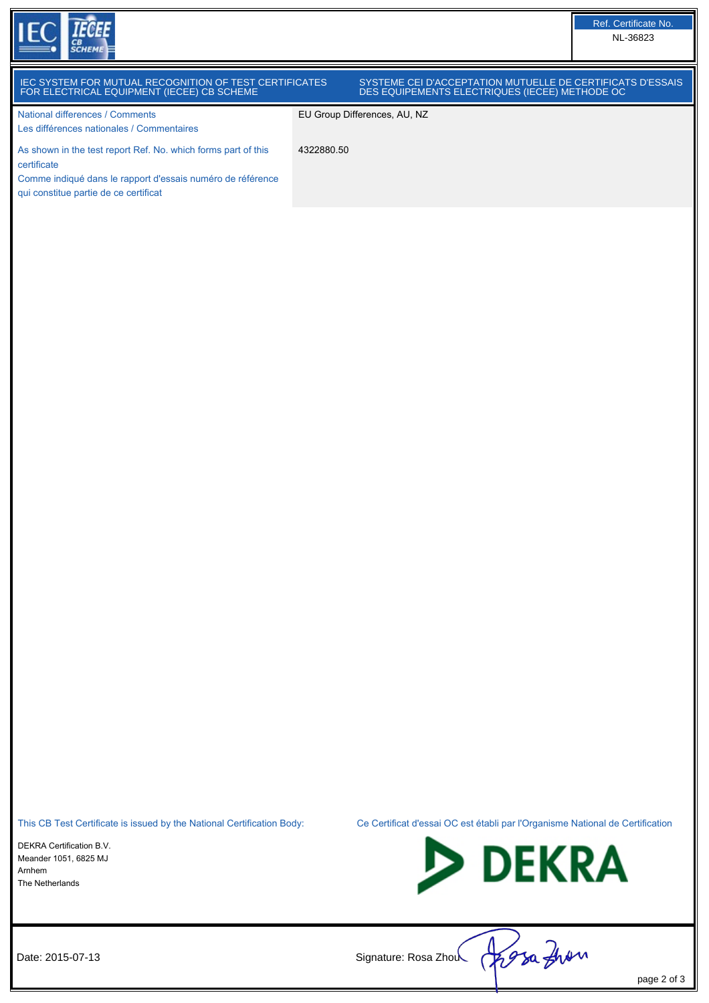

qui constitue partie de ce certificat

#### IEC SYSTEM FOR MUTUAL RECOGNITION OF TEST CERTIFICATES FOR ELECTRICAL EQUIPMENT (IECEE) CB SCHEME SYSTEME CEI D'ACCEPTATION MUTUELLE DE CERTIFICATS D'ESSAIS DES EQUIPEMENTS ELECTRIQUES (IECEE) METHODE OC National differences / Comments Les différences nationales / Commentaires EU Group Differences, AU, NZ As shown in the test report Ref. No. which forms part of this certificate Comme indiqué dans le rapport d'essais numéro de référence 4322880.50

This CB Test Certificate is issued by the National Certification Body: Ce Certificat d'essai OC est établi par l'Organisme National de Certification

DEKRA Certification B.V. Meander 1051, 6825 MJ Arnhem The Netherlands



Date: 2015-07-13 Signature: Rosa Zhou